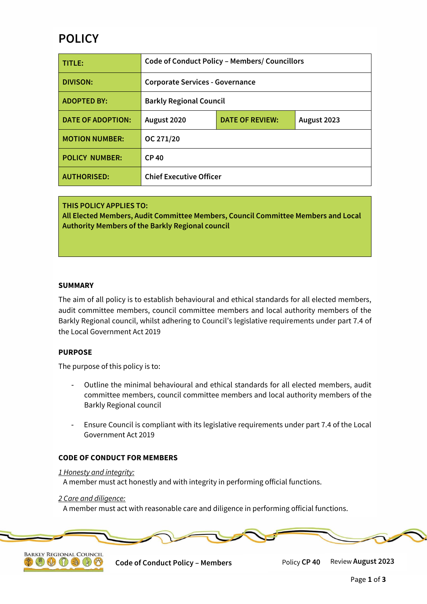# **POLICY**

| TITLE:                   | <b>Code of Conduct Policy - Members/ Councillors</b> |                        |             |
|--------------------------|------------------------------------------------------|------------------------|-------------|
| <b>DIVISON:</b>          | <b>Corporate Services - Governance</b>               |                        |             |
| <b>ADOPTED BY:</b>       | <b>Barkly Regional Council</b>                       |                        |             |
| <b>DATE OF ADOPTION:</b> | August 2020                                          | <b>DATE OF REVIEW:</b> | August 2023 |
| <b>MOTION NUMBER:</b>    | OC 271/20                                            |                        |             |
| <b>POLICY NUMBER:</b>    | <b>CP40</b>                                          |                        |             |
| <b>AUTHORISED:</b>       | <b>Chief Executive Officer</b>                       |                        |             |

**THIS POLICY APPLIES TO: All Elected Members, Audit Committee Members, Council Committee Members and Local Authority Members of the Barkly Regional council**

#### **SUMMARY**

The aim of all policy is to establish behavioural and ethical standards for all elected members, audit committee members, council committee members and local authority members of the Barkly Regional council, whilst adhering to Council's legislative requirements under part 7.4 of the Local Government Act 2019

#### **PURPOSE**

The purpose of this policy is to:

- Outline the minimal behavioural and ethical standards for all elected members, audit committee members, council committee members and local authority members of the Barkly Regional council
- Ensure Council is compliant with its legislative requirements under part 7.4 of the Local Government Act 2019

## **CODE OF CONDUCT FOR MEMBERS**

#### *1 Honesty and integrity:*

A member must act honestly and with integrity in performing official functions.

#### *2 Care and diligence:*

 $\mathbb{C} \otimes \mathbb{C} \otimes \mathbb{C}$ 

A member must act with reasonable care and diligence in performing official functions.



**Code of Conduct Policy – Members** Policy **CP 40** Review **August 2023**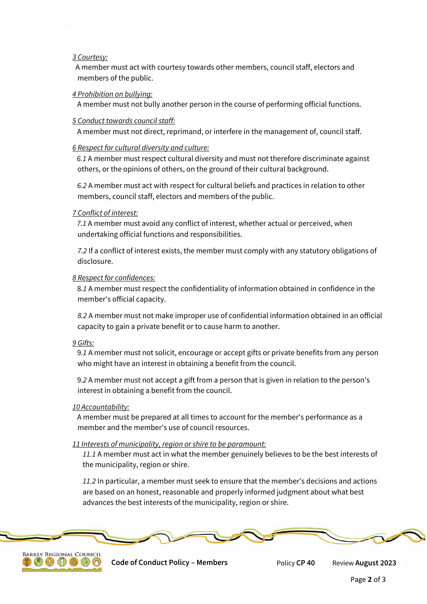## *3 Courtesy:*

 A member must act with courtesy towards other members, council staff, electors and members of the public.

## *4 Prohibition on bullying:*

A member must not bully another person in the course of performing official functions.

## *5 Conduct towards council staff:*

A member must not direct, reprimand, or interfere in the management of, council staff.

## *6 Respect for cultural diversity and culture:*

 *6.1* A member must respect cultural diversity and must not therefore discriminate against others, or the opinions of others, on the ground of their cultural background.

 *6.2* A member must act with respect for cultural beliefs and practices in relation to other members, council staff, electors and members of the public.

## *7 Conflict of interest:*

 *7.1* A member must avoid any conflict of interest, whether actual or perceived, when undertaking official functions and responsibilities.

*7.2* If a conflict of interest exists, the member must comply with any statutory obligations of disclosure.

#### *8 Respect for confidences:*

 8*.1* A member must respect the confidentiality of information obtained in confidence in the member's official capacity.

*8.2* A member must not make improper use of confidential information obtained in an official capacity to gain a private benefit or to cause harm to another.

## *9 Gifts:*

 9*.1* A member must not solicit, encourage or accept gifts or private benefits from any person who might have an interest in obtaining a benefit from the council.

 9*.2* A member must not accept a gift from a person that is given in relation to the person's interest in obtaining a benefit from the council.

#### *10 Accountability:*

 A member must be prepared at all times to account for the member's performance as a member and the member's use of council resources.

#### *11 Interests of municipality, region or shire to be paramount:*

*11.1* A member must act in what the member genuinely believes to be the best interests of the municipality, region or shire.

*11.2* In particular, a member must seek to ensure that the member's decisions and actions are based on an honest, reasonable and properly informed judgment about what best advances the best interests of the municipality, region or shire.





**Code of Conduct Policy – Members** Policy **CP 40** Review **August 2023**